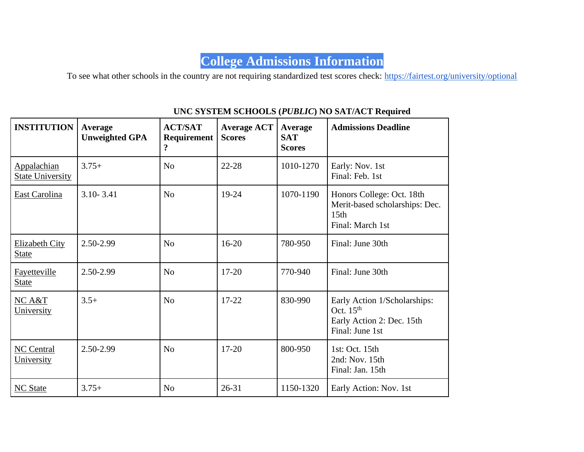## **College Admissions Information**

To see what other schools in the country are not requiring standardized test scores check:<https://fairtest.org/university/optional>

| <b>INSTITUTION</b>                            | Average<br><b>Unweighted GPA</b> | <b>ACT/SAT</b><br><b>Requirement</b><br>$\ddot{\mathbf{c}}$ | <b>Average ACT</b><br><b>Scores</b> | Average<br><b>SAT</b><br><b>Scores</b> | <b>Admissions Deadline</b>                                                                          |
|-----------------------------------------------|----------------------------------|-------------------------------------------------------------|-------------------------------------|----------------------------------------|-----------------------------------------------------------------------------------------------------|
| <b>Appalachian</b><br><b>State University</b> | $3.75+$                          | N <sub>0</sub>                                              | $22 - 28$                           | 1010-1270                              | Early: Nov. 1st<br>Final: Feb. 1st                                                                  |
| East Carolina                                 | $3.10 - 3.41$                    | No                                                          | 19-24                               | 1070-1190                              | Honors College: Oct. 18th<br>Merit-based scholarships: Dec.<br>15 <sub>th</sub><br>Final: March 1st |
| Elizabeth City<br><b>State</b>                | 2.50-2.99                        | N <sub>o</sub>                                              | $16 - 20$                           | 780-950                                | Final: June 30th                                                                                    |
| Fayetteville<br><b>State</b>                  | 2.50-2.99                        | N <sub>0</sub>                                              | $17 - 20$                           | 770-940                                | Final: June 30th                                                                                    |
| $NC A&T$<br>University                        | $3.5+$                           | N <sub>0</sub>                                              | $17 - 22$                           | 830-990                                | Early Action 1/Scholarships:<br>Oct. $15th$<br>Early Action 2: Dec. 15th<br>Final: June 1st         |
| <b>NC Central</b><br>University               | 2.50-2.99                        | N <sub>0</sub>                                              | $17 - 20$                           | 800-950                                | 1st: Oct. 15th<br>2nd: Nov. 15th<br>Final: Jan. 15th                                                |
| <b>NC State</b>                               | $3.75+$                          | N <sub>o</sub>                                              | $26 - 31$                           | 1150-1320                              | Early Action: Nov. 1st                                                                              |

## **UNC SYSTEM SCHOOLS (***PUBLIC***) NO SAT/ACT Required**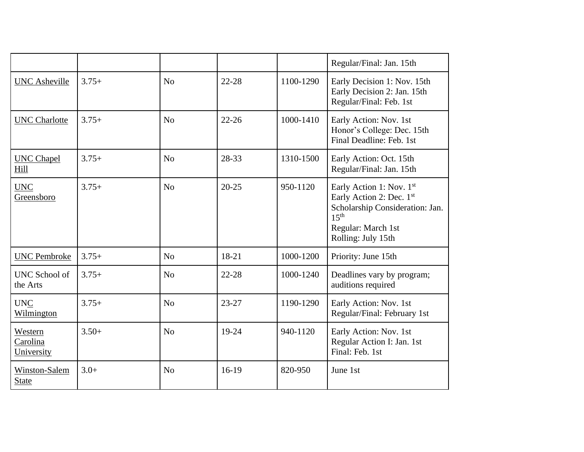|                                         |         |                |           |           | Regular/Final: Jan. 15th                                                                                                                                |
|-----------------------------------------|---------|----------------|-----------|-----------|---------------------------------------------------------------------------------------------------------------------------------------------------------|
| <b>UNC</b> Asheville                    | $3.75+$ | N <sub>0</sub> | $22 - 28$ | 1100-1290 | Early Decision 1: Nov. 15th<br>Early Decision 2: Jan. 15th<br>Regular/Final: Feb. 1st                                                                   |
| <b>UNC Charlotte</b>                    | $3.75+$ | No             | $22 - 26$ | 1000-1410 | Early Action: Nov. 1st<br>Honor's College: Dec. 15th<br>Final Deadline: Feb. 1st                                                                        |
| <b>UNC Chapel</b><br>Hill               | $3.75+$ | N <sub>0</sub> | 28-33     | 1310-1500 | Early Action: Oct. 15th<br>Regular/Final: Jan. 15th                                                                                                     |
| <b>UNC</b><br>Greensboro                | $3.75+$ | No             | $20 - 25$ | 950-1120  | Early Action 1: Nov. 1st<br>Early Action 2: Dec. 1st<br>Scholarship Consideration: Jan.<br>15 <sup>th</sup><br>Regular: March 1st<br>Rolling: July 15th |
| <b>UNC Pembroke</b>                     | $3.75+$ | N <sub>0</sub> | 18-21     | 1000-1200 | Priority: June 15th                                                                                                                                     |
| UNC School of<br>the Arts               | $3.75+$ | N <sub>o</sub> | 22-28     | 1000-1240 | Deadlines vary by program;<br>auditions required                                                                                                        |
| $\ensuremath{\text{UNC}}$<br>Wilmington | $3.75+$ | N <sub>0</sub> | $23 - 27$ | 1190-1290 | Early Action: Nov. 1st<br>Regular/Final: February 1st                                                                                                   |
| Western<br>Carolina<br>University       | $3.50+$ | N <sub>0</sub> | 19-24     | 940-1120  | Early Action: Nov. 1st<br>Regular Action I: Jan. 1st<br>Final: Feb. 1st                                                                                 |
| Winston-Salem<br><b>State</b>           | $3.0+$  | N <sub>0</sub> | $16-19$   | 820-950   | June 1st                                                                                                                                                |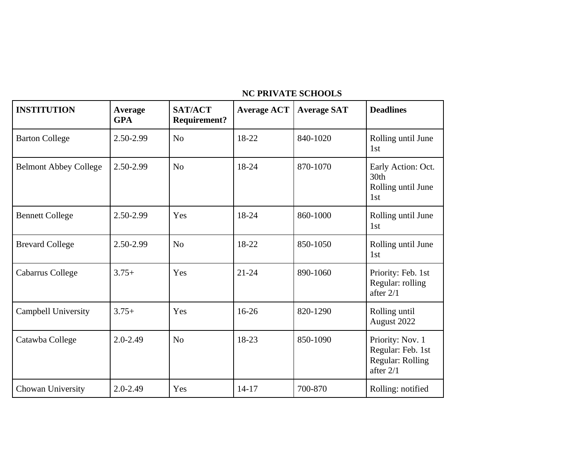## **NC PRIVATE SCHOOLS**

| <b>INSTITUTION</b>           | Average<br><b>GPA</b> | <b>SAT/ACT</b><br><b>Requirement?</b> | <b>Average ACT</b> | <b>Average SAT</b> | <b>Deadlines</b>                                                         |
|------------------------------|-----------------------|---------------------------------------|--------------------|--------------------|--------------------------------------------------------------------------|
| <b>Barton College</b>        | 2.50-2.99             | N <sub>o</sub>                        | 18-22              | 840-1020           | Rolling until June<br>1st                                                |
| <b>Belmont Abbey College</b> | 2.50-2.99             | No                                    | 18-24              | 870-1070           | Early Action: Oct.<br>30th<br>Rolling until June<br>1st                  |
| <b>Bennett College</b>       | 2.50-2.99             | Yes                                   | 18-24              | 860-1000           | Rolling until June<br>1st                                                |
| <b>Brevard College</b>       | 2.50-2.99             | No                                    | 18-22              | 850-1050           | Rolling until June<br>1st                                                |
| Cabarrus College             | $3.75+$               | Yes                                   | $21 - 24$          | 890-1060           | Priority: Feb. 1st<br>Regular: rolling<br>after $2/1$                    |
| Campbell University          | $3.75+$               | Yes                                   | $16-26$            | 820-1290           | Rolling until<br>August 2022                                             |
| Catawba College              | $2.0 - 2.49$          | N <sub>0</sub>                        | 18-23              | 850-1090           | Priority: Nov. 1<br>Regular: Feb. 1st<br>Regular: Rolling<br>after $2/1$ |
| Chowan University            | $2.0 - 2.49$          | Yes                                   | $14 - 17$          | 700-870            | Rolling: notified                                                        |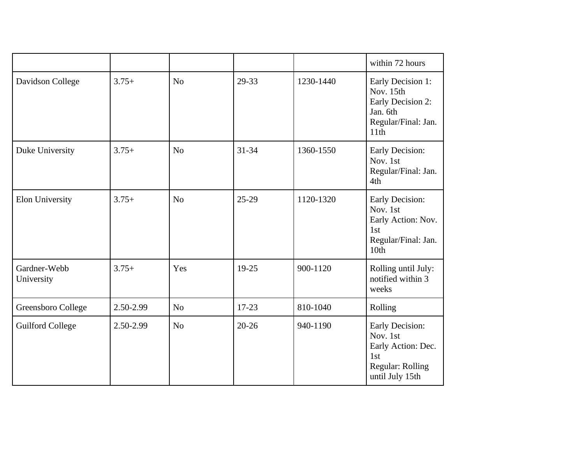|                            |           |                |           |           | within 72 hours                                                                                 |
|----------------------------|-----------|----------------|-----------|-----------|-------------------------------------------------------------------------------------------------|
| Davidson College           | $3.75+$   | N <sub>o</sub> | 29-33     | 1230-1440 | Early Decision 1:<br>Nov. 15th<br>Early Decision 2:<br>Jan. 6th<br>Regular/Final: Jan.<br>11th  |
| Duke University            | $3.75+$   | N <sub>o</sub> | $31 - 34$ | 1360-1550 | Early Decision:<br>Nov. 1st<br>Regular/Final: Jan.<br>4th                                       |
| <b>Elon University</b>     | $3.75+$   | N <sub>o</sub> | $25-29$   | 1120-1320 | Early Decision:<br>Nov. 1st<br>Early Action: Nov.<br>1st<br>Regular/Final: Jan.<br>10th         |
| Gardner-Webb<br>University | $3.75+$   | Yes            | 19-25     | 900-1120  | Rolling until July:<br>notified within 3<br>weeks                                               |
| Greensboro College         | 2.50-2.99 | N <sub>o</sub> | $17 - 23$ | 810-1040  | Rolling                                                                                         |
| <b>Guilford College</b>    | 2.50-2.99 | N <sub>o</sub> | $20 - 26$ | 940-1190  | Early Decision:<br>Nov. 1st<br>Early Action: Dec.<br>1st<br>Regular: Rolling<br>until July 15th |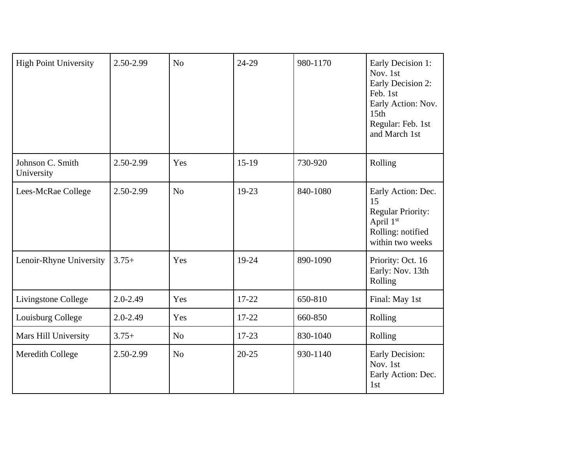| <b>High Point University</b>   | 2.50-2.99    | N <sub>o</sub> | 24-29     | 980-1170 | Early Decision 1:<br>Nov. 1st<br>Early Decision 2:<br>Feb. 1st<br>Early Action: Nov.<br>15 <sub>th</sub><br>Regular: Feb. 1st<br>and March 1st |
|--------------------------------|--------------|----------------|-----------|----------|------------------------------------------------------------------------------------------------------------------------------------------------|
| Johnson C. Smith<br>University | 2.50-2.99    | Yes            | $15-19$   | 730-920  | Rolling                                                                                                                                        |
| Lees-McRae College             | 2.50-2.99    | N <sub>o</sub> | 19-23     | 840-1080 | Early Action: Dec.<br>15<br><b>Regular Priority:</b><br>April 1st<br>Rolling: notified<br>within two weeks                                     |
| Lenoir-Rhyne University        | $3.75+$      | Yes            | $19-24$   | 890-1090 | Priority: Oct. 16<br>Early: Nov. 13th<br>Rolling                                                                                               |
| Livingstone College            | $2.0 - 2.49$ | Yes            | 17-22     | 650-810  | Final: May 1st                                                                                                                                 |
| Louisburg College              | $2.0 - 2.49$ | Yes            | 17-22     | 660-850  | Rolling                                                                                                                                        |
| Mars Hill University           | $3.75+$      | N <sub>o</sub> | $17 - 23$ | 830-1040 | Rolling                                                                                                                                        |
| Meredith College               | 2.50-2.99    | N <sub>o</sub> | $20 - 25$ | 930-1140 | <b>Early Decision:</b><br>Nov. 1st<br>Early Action: Dec.<br>1st                                                                                |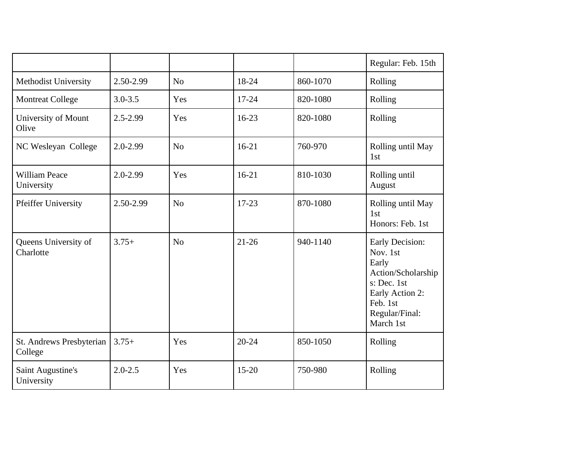|                                     |              |                |           |          | Regular: Feb. 15th                                                                                                                             |
|-------------------------------------|--------------|----------------|-----------|----------|------------------------------------------------------------------------------------------------------------------------------------------------|
| Methodist University                | 2.50-2.99    | N <sub>o</sub> | 18-24     | 860-1070 | Rolling                                                                                                                                        |
| <b>Montreat College</b>             | $3.0 - 3.5$  | Yes            | $17 - 24$ | 820-1080 | Rolling                                                                                                                                        |
| University of Mount<br>Olive        | $2.5 - 2.99$ | Yes            | $16-23$   | 820-1080 | Rolling                                                                                                                                        |
| NC Wesleyan College                 | $2.0 - 2.99$ | N <sub>o</sub> | $16-21$   | 760-970  | Rolling until May<br>1st                                                                                                                       |
| <b>William Peace</b><br>University  | $2.0 - 2.99$ | Yes            | $16 - 21$ | 810-1030 | Rolling until<br>August                                                                                                                        |
| <b>Pfeiffer University</b>          | 2.50-2.99    | N <sub>o</sub> | $17 - 23$ | 870-1080 | Rolling until May<br>1st<br>Honors: Feb. 1st                                                                                                   |
| Queens University of<br>Charlotte   | $3.75+$      | N <sub>o</sub> | $21 - 26$ | 940-1140 | <b>Early Decision:</b><br>Nov. 1st<br>Early<br>Action/Scholarship<br>s: Dec. 1st<br>Early Action 2:<br>Feb. 1st<br>Regular/Final:<br>March 1st |
| St. Andrews Presbyterian<br>College | $3.75+$      | Yes            | $20 - 24$ | 850-1050 | Rolling                                                                                                                                        |
| Saint Augustine's<br>University     | $2.0 - 2.5$  | Yes            | $15 - 20$ | 750-980  | Rolling                                                                                                                                        |